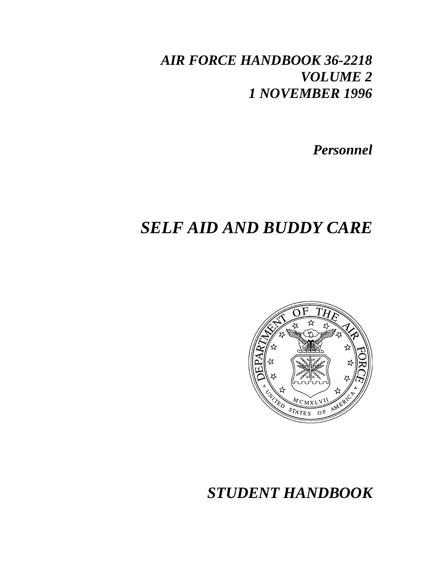## *AIR FORCE HANDBOOK 36-2218 VOLUME 2 1 NOVEMBER 1996*

*Personnel*

# *SELF AID AND BUDDY CARE*



## *STUDENT HANDBOOK*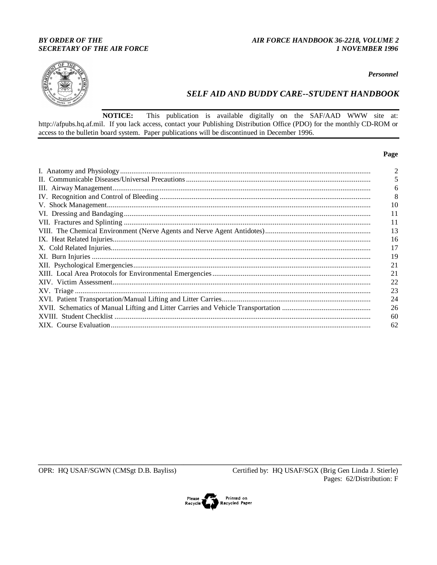## **BY ORDER OF THE SECRETARY OF THE AIR FORCE**

### AIR FORCE HANDBOOK 36-2218, VOLUME 2 1 NOVEMBER 1996



#### Personnel

## **SELF AID AND BUDDY CARE--STUDENT HANDBOOK**

**NOTICE:** This publication is available digitally on the SAF/AAD WWW site at: http://afpubs.hq.af.mil. If you lack access, contact your Publishing Distribution Office (PDO) for the monthly CD-ROM or access to the bulletin board system. Paper publications will be discontinued in December 1996.

#### Page

| 10 |
|----|
| 11 |
| 11 |
| 13 |
| 16 |
| 17 |
| 19 |
| 21 |
| 21 |
|    |
| 23 |
| 24 |
| 26 |
| 60 |
| 62 |
|    |

OPR: HQ USAF/SGWN (CMSgt D.B. Bayliss)

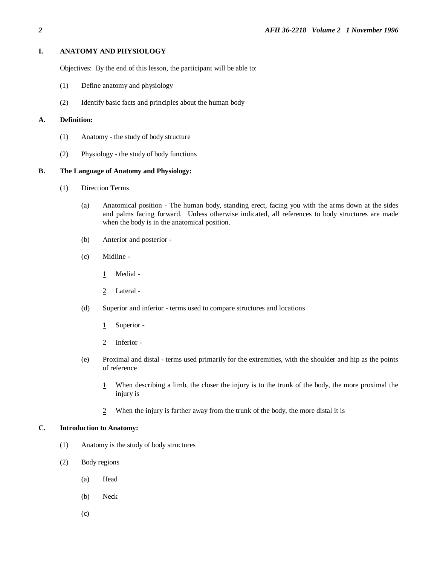#### **I. ANATOMY AND PHYSIOLOGY**

Objectives: By the end of this lesson, the participant will be able to:

- (1) Define anatomy and physiology
- (2) Identify basic facts and principles about the human body

#### **A. Definition:**

- (1) Anatomy the study of body structure
- (2) Physiology the study of body functions

#### **B. The Language of Anatomy and Physiology:**

- (1) Direction Terms
	- (a) Anatomical position The human body, standing erect, facing you with the arms down at the sides and palms facing forward. Unless otherwise indicated, all references to body structures are made when the body is in the anatomical position.
	- (b) Anterior and posterior -
	- (c) Midline
		- 1 Medial -
		- 2 Lateral -
	- (d) Superior and inferior terms used to compare structures and locations
		- 1 Superior -
		- 2 Inferior -
	- (e) Proximal and distal terms used primarily for the extremities, with the shoulder and hip as the points of reference
		- 1 When describing a limb, the closer the injury is to the trunk of the body, the more proximal the injury is
		- 2 When the injury is farther away from the trunk of the body, the more distal it is

#### **C. Introduction to Anatomy:**

- (1) Anatomy is the study of body structures
- (2) Body regions
	- (a) Head
	- (b) Neck
	- (c)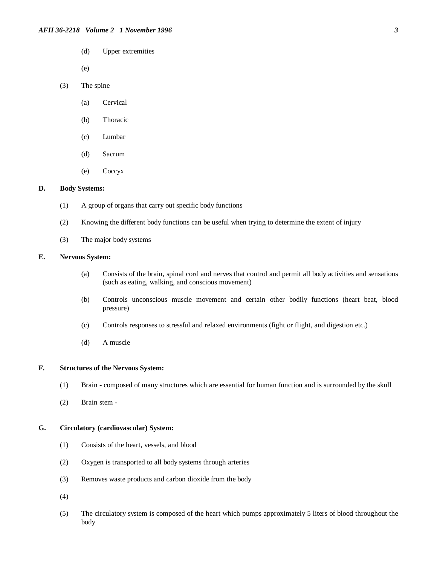(d) Upper extremities

(e)

- (3) The spine
	- (a) Cervical
	- (b) Thoracic
	- (c) Lumbar
	- (d) Sacrum
	- (e) Coccyx

#### **D. Body Systems:**

- (1) A group of organs that carry out specific body functions
- (2) Knowing the different body functions can be useful when trying to determine the extent of injury
- (3) The major body systems

#### **E. Nervous System:**

- (a) Consists of the brain, spinal cord and nerves that control and permit all body activities and sensations (such as eating, walking, and conscious movement)
- (b) Controls unconscious muscle movement and certain other bodily functions (heart beat, blood pressure)
- (c) Controls responses to stressful and relaxed environments (fight or flight, and digestion etc.)
- (d) A muscle

#### **F. Structures of the Nervous System:**

- (1) Brain composed of many structures which are essential for human function and is surrounded by the skull
- (2) Brain stem -

#### **G. Circulatory (cardiovascular) System:**

- (1) Consists of the heart, vessels, and blood
- (2) Oxygen is transported to all body systems through arteries
- (3) Removes waste products and carbon dioxide from the body
- (4)
- (5) The circulatory system is composed of the heart which pumps approximately 5 liters of blood throughout the body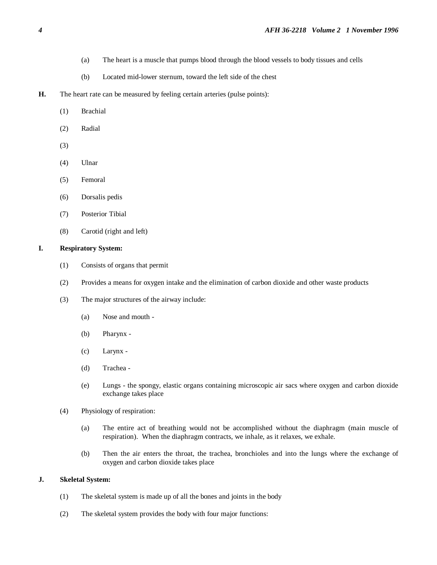- (a) The heart is a muscle that pumps blood through the blood vessels to body tissues and cells
- (b) Located mid-lower sternum, toward the left side of the chest
- **H.** The heart rate can be measured by feeling certain arteries (pulse points):
	- (1) Brachial
	- (2) Radial
	- (3)
	- (4) Ulnar
	- (5) Femoral
	- (6) Dorsalis pedis
	- (7) Posterior Tibial
	- (8) Carotid (right and left)

#### **I. Respiratory System:**

- (1) Consists of organs that permit
- (2) Provides a means for oxygen intake and the elimination of carbon dioxide and other waste products
- (3) The major structures of the airway include:
	- (a) Nose and mouth -
	- (b) Pharynx -
	- (c) Larynx -
	- (d) Trachea -
	- (e) Lungs the spongy, elastic organs containing microscopic air sacs where oxygen and carbon dioxide exchange takes place
- (4) Physiology of respiration:
	- (a) The entire act of breathing would not be accomplished without the diaphragm (main muscle of respiration). When the diaphragm contracts, we inhale, as it relaxes, we exhale.
	- (b) Then the air enters the throat, the trachea, bronchioles and into the lungs where the exchange of oxygen and carbon dioxide takes place

#### **J. Skeletal System:**

- (1) The skeletal system is made up of all the bones and joints in the body
- (2) The skeletal system provides the body with four major functions: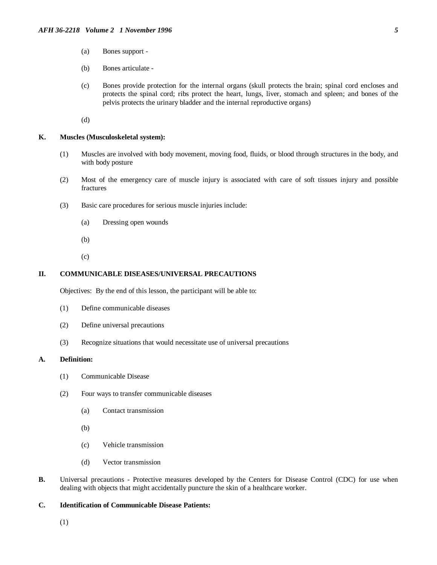- (a) Bones support -
- (b) Bones articulate -
- (c) Bones provide protection for the internal organs (skull protects the brain; spinal cord encloses and protects the spinal cord; ribs protect the heart, lungs, liver, stomach and spleen; and bones of the pelvis protects the urinary bladder and the internal reproductive organs)

(d)

#### **K. Muscles (Musculoskeletal system):**

- (1) Muscles are involved with body movement, moving food, fluids, or blood through structures in the body, and with body posture
- (2) Most of the emergency care of muscle injury is associated with care of soft tissues injury and possible fractures
- (3) Basic care procedures for serious muscle injuries include:
	- (a) Dressing open wounds
	- (b)
	- (c)

#### **II. COMMUNICABLE DISEASES/UNIVERSAL PRECAUTIONS**

Objectives: By the end of this lesson, the participant will be able to:

- (1) Define communicable diseases
- (2) Define universal precautions
- (3) Recognize situations that would necessitate use of universal precautions

#### **A. Definition:**

- (1) Communicable Disease
- (2) Four ways to transfer communicable diseases
	- (a) Contact transmission
	- (b)
	- (c) Vehicle transmission
	- (d) Vector transmission
- **B.** Universal precautions Protective measures developed by the Centers for Disease Control (CDC) for use when dealing with objects that might accidentally puncture the skin of a healthcare worker.

#### **C. Identification of Communicable Disease Patients:**

(1)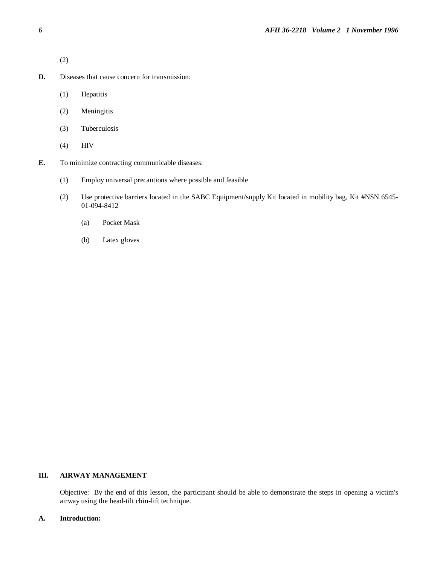(2)

- **D.** Diseases that cause concern for transmission:
	- (1) Hepatitis
	- (2) Meningitis
	- (3) Tuberculosis
	- (4) HIV
- **E.** To minimize contracting communicable diseases:
	- (1) Employ universal precautions where possible and feasible
	- (2) Use protective barriers located in the SABC Equipment/supply Kit located in mobility bag, Kit #NSN 6545- 01-094-8412
		- (a) Pocket Mask
		- (b) Latex gloves

## **III. AIRWAY MANAGEMENT**

Objective: By the end of this lesson, the participant should be able to demonstrate the steps in opening a victim's airway using the head-tilt chin-lift technique.

#### **A. Introduction:**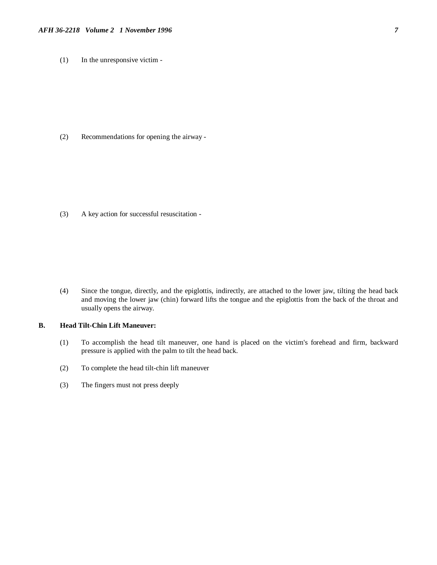(1) In the unresponsive victim -

(2) Recommendations for opening the airway -

(3) A key action for successful resuscitation -

(4) Since the tongue, directly, and the epiglottis, indirectly, are attached to the lower jaw, tilting the head back and moving the lower jaw (chin) forward lifts the tongue and the epiglottis from the back of the throat and usually opens the airway.

#### **B. Head Tilt-Chin Lift Maneuver:**

- (1) To accomplish the head tilt maneuver, one hand is placed on the victim's forehead and firm, backward pressure is applied with the palm to tilt the head back.
- (2) To complete the head tilt-chin lift maneuver
- (3) The fingers must not press deeply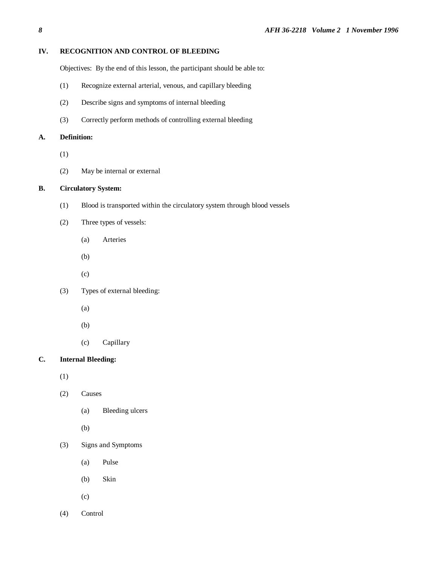## **IV. RECOGNITION AND CONTROL OF BLEEDING**

Objectives: By the end of this lesson, the participant should be able to:

- (1) Recognize external arterial, venous, and capillary bleeding
- (2) Describe signs and symptoms of internal bleeding
- (3) Correctly perform methods of controlling external bleeding

#### **A. Definition:**

- (1)
- (2) May be internal or external

## **B. Circulatory System:**

- (1) Blood is transported within the circulatory system through blood vessels
- (2) Three types of vessels:
	- (a) Arteries
	- (b)
	- (c)
- (3) Types of external bleeding:
	- (a)
	- (b)
	- (c) Capillary

## **C. Internal Bleeding:**

(1)

- (2) Causes
	- (a) Bleeding ulcers
	- (b)
- (3) Signs and Symptoms
	- (a) Pulse
	- (b) Skin
	- (c)
- (4) Control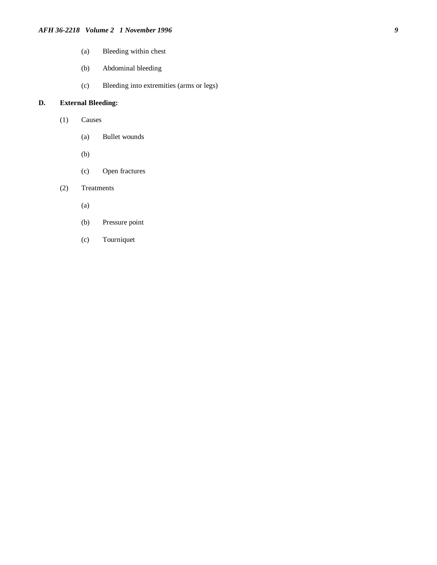- (a) Bleeding within chest
- (b) Abdominal bleeding
- (c) Bleeding into extremities (arms or legs)

## **D. External Bleeding:**

- (1) Causes
	- (a) Bullet wounds
	- (b)
	- (c) Open fractures
- (2) Treatments
	- (a)
	- (b) Pressure point
	- (c) Tourniquet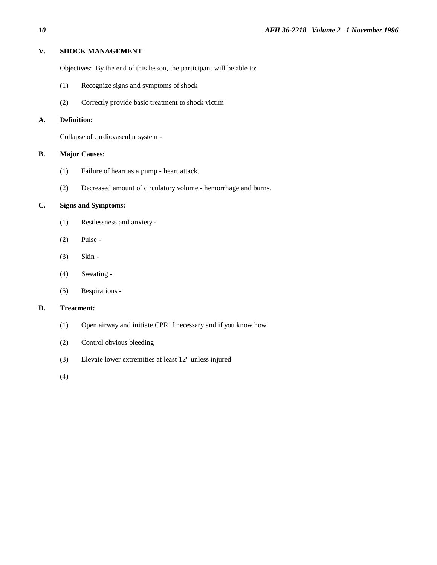## **V. SHOCK MANAGEMENT**

Objectives: By the end of this lesson, the participant will be able to:

- (1) Recognize signs and symptoms of shock
- (2) Correctly provide basic treatment to shock victim

## **A. Definition:**

Collapse of cardiovascular system -

#### **B. Major Causes:**

- (1) Failure of heart as a pump heart attack.
- (2) Decreased amount of circulatory volume hemorrhage and burns.

## **C. Signs and Symptoms:**

- (1) Restlessness and anxiety -
- (2) Pulse -
- (3) Skin -
- (4) Sweating -
- (5) Respirations -

## **D. Treatment:**

- (1) Open airway and initiate CPR if necessary and if you know how
- (2) Control obvious bleeding
- (3) Elevate lower extremities at least 12" unless injured
- (4)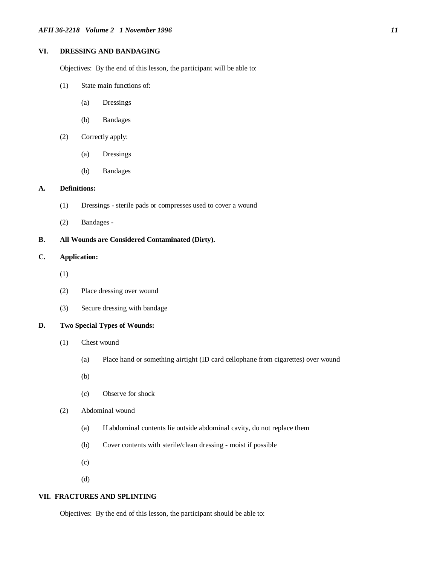## **VI. DRESSING AND BANDAGING**

Objectives: By the end of this lesson, the participant will be able to:

- (1) State main functions of:
	- (a) Dressings
	- (b) Bandages
- (2) Correctly apply:
	- (a) Dressings
	- (b) Bandages

#### **A. Definitions:**

- (1) Dressings sterile pads or compresses used to cover a wound
- (2) Bandages -

#### **B. All Wounds are Considered Contaminated (Dirty).**

### **C. Application:**

- (1)
- (2) Place dressing over wound
- (3) Secure dressing with bandage

#### **D. Two Special Types of Wounds:**

- (1) Chest wound
	- (a) Place hand or something airtight (ID card cellophane from cigarettes) over wound
	- (b)
	- (c) Observe for shock
- (2) Abdominal wound
	- (a) If abdominal contents lie outside abdominal cavity, do not replace them
	- (b) Cover contents with sterile/clean dressing moist if possible
	- (c)
	- (d)

#### **VII. FRACTURES AND SPLINTING**

Objectives: By the end of this lesson, the participant should be able to: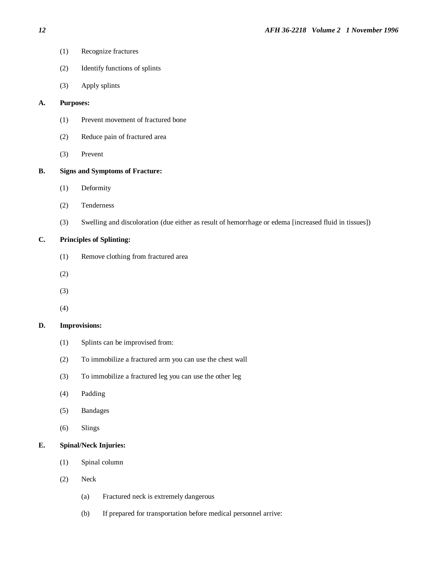- (1) Recognize fractures
- (2) Identify functions of splints
- (3) Apply splints

## **A. Purposes:**

- (1) Prevent movement of fractured bone
- (2) Reduce pain of fractured area
- (3) Prevent

#### **B. Signs and Symptoms of Fracture:**

- (1) Deformity
- (2) Tenderness
- (3) Swelling and discoloration (due either as result of hemorrhage or edema [increased fluid in tissues])

## **C. Principles of Splinting:**

- (1) Remove clothing from fractured area
- (2)
- (3)
- (4)

#### **D. Improvisions:**

- (1) Splints can be improvised from:
- (2) To immobilize a fractured arm you can use the chest wall
- (3) To immobilize a fractured leg you can use the other leg
- (4) Padding
- (5) Bandages
- (6) Slings

#### **E. Spinal/Neck Injuries:**

- (1) Spinal column
- (2) Neck
	- (a) Fractured neck is extremely dangerous
	- (b) If prepared for transportation before medical personnel arrive: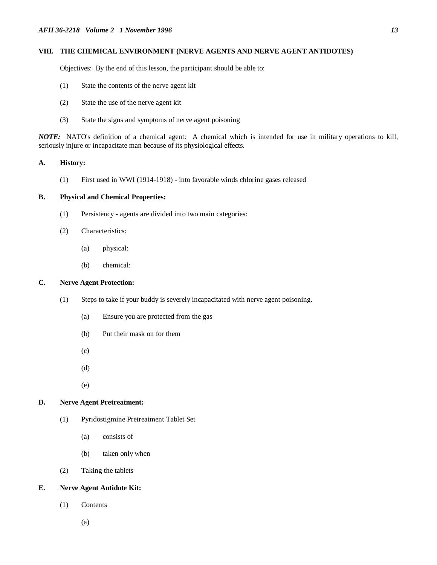#### **VIII. THE CHEMICAL ENVIRONMENT (NERVE AGENTS AND NERVE AGENT ANTIDOTES)**

Objectives: By the end of this lesson, the participant should be able to:

- (1) State the contents of the nerve agent kit
- (2) State the use of the nerve agent kit
- (3) State the signs and symptoms of nerve agent poisoning

*NOTE:* NATO's definition of a chemical agent: A chemical which is intended for use in military operations to kill, seriously injure or incapacitate man because of its physiological effects.

#### **A. History:**

(1) First used in WWI (1914-1918) - into favorable winds chlorine gases released

#### **B. Physical and Chemical Properties:**

- (1) Persistency agents are divided into two main categories:
- (2) Characteristics:
	- (a) physical:
	- (b) chemical:

## **C. Nerve Agent Protection:**

- (1) Steps to take if your buddy is severely incapacitated with nerve agent poisoning.
	- (a) Ensure you are protected from the gas
	- (b) Put their mask on for them
	- (c)
	- (d)
	- (e)

#### **D. Nerve Agent Pretreatment:**

- (1) Pyridostigmine Pretreatment Tablet Set
	- (a) consists of
	- (b) taken only when
- (2) Taking the tablets

#### **E. Nerve Agent Antidote Kit:**

- (1) Contents
	- (a)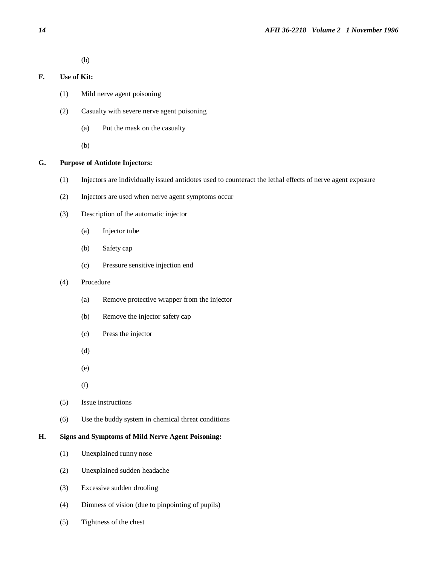(b)

## **F. Use of Kit:**

- (1) Mild nerve agent poisoning
- (2) Casualty with severe nerve agent poisoning
	- (a) Put the mask on the casualty

(b)

## **G. Purpose of Antidote Injectors:**

- (1) Injectors are individually issued antidotes used to counteract the lethal effects of nerve agent exposure
- (2) Injectors are used when nerve agent symptoms occur
- (3) Description of the automatic injector
	- (a) Injector tube
	- (b) Safety cap
	- (c) Pressure sensitive injection end

#### (4) Procedure

- (a) Remove protective wrapper from the injector
- (b) Remove the injector safety cap
- (c) Press the injector
- (d)
- (e)
- (f)
- (5) Issue instructions
- (6) Use the buddy system in chemical threat conditions

## **H. Signs and Symptoms of Mild Nerve Agent Poisoning:**

- (1) Unexplained runny nose
- (2) Unexplained sudden headache
- (3) Excessive sudden drooling
- (4) Dimness of vision (due to pinpointing of pupils)
- (5) Tightness of the chest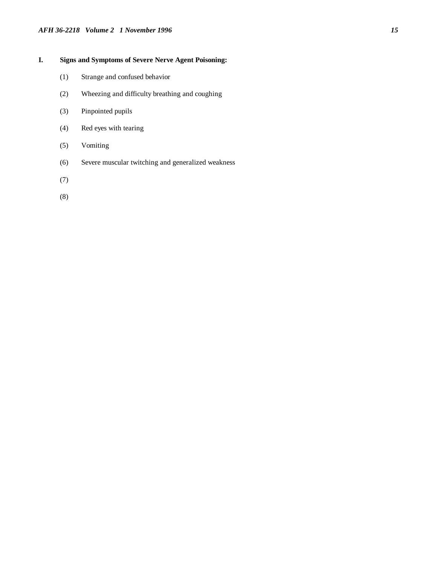## *AFH 36-2218 Volume 2 1 November 1996 15*

## **I. Signs and Symptoms of Severe Nerve Agent Poisoning:**

- (1) Strange and confused behavior
- (2) Wheezing and difficulty breathing and coughing
- (3) Pinpointed pupils
- (4) Red eyes with tearing
- (5) Vomiting
- (6) Severe muscular twitching and generalized weakness
- (7)
- (8)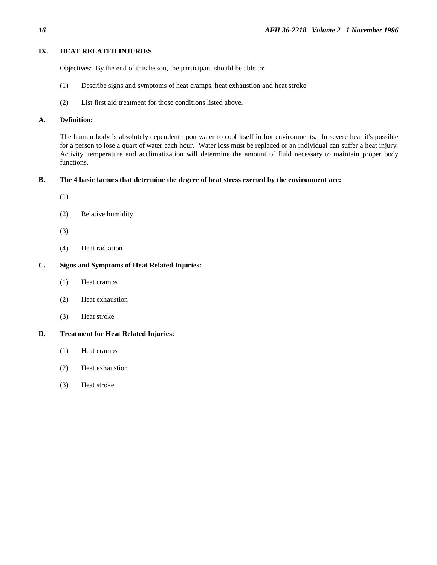#### **IX. HEAT RELATED INJURIES**

Objectives: By the end of this lesson, the participant should be able to:

- (1) Describe signs and symptoms of heat cramps, heat exhaustion and heat stroke
- (2) List first aid treatment for those conditions listed above.

#### **A. Definition:**

The human body is absolutely dependent upon water to cool itself in hot environments. In severe heat it's possible for a person to lose a quart of water each hour. Water loss must be replaced or an individual can suffer a heat injury. Activity, temperature and acclimatization will determine the amount of fluid necessary to maintain proper body functions.

#### **B. The 4 basic factors that determine the degree of heat stress exerted by the environment are:**

- (1)
- (2) Relative humidity
- (3)
- (4) Heat radiation

#### **C. Signs and Symptoms of Heat Related Injuries:**

- (1) Heat cramps
- (2) Heat exhaustion
- (3) Heat stroke

#### **D. Treatment for Heat Related Injuries:**

- (1) Heat cramps
- (2) Heat exhaustion
- (3) Heat stroke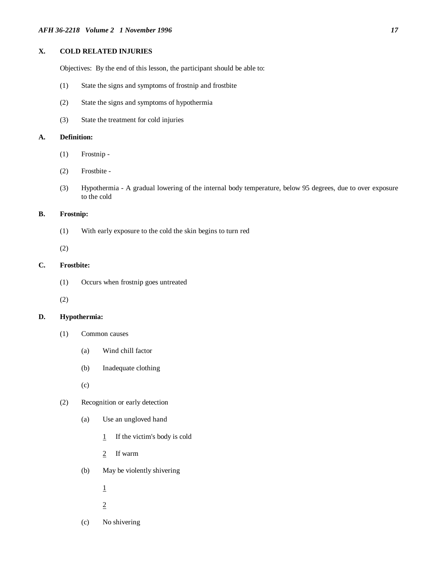## **X. COLD RELATED INJURIES**

Objectives: By the end of this lesson, the participant should be able to:

- (1) State the signs and symptoms of frostnip and frostbite
- (2) State the signs and symptoms of hypothermia
- (3) State the treatment for cold injuries

#### **A. Definition:**

- (1) Frostnip -
- (2) Frostbite -
- (3) Hypothermia A gradual lowering of the internal body temperature, below 95 degrees, due to over exposure to the cold

#### **B. Frostnip:**

(1) With early exposure to the cold the skin begins to turn red

(2)

#### **C. Frostbite:**

(1) Occurs when frostnip goes untreated

(2)

#### **D. Hypothermia:**

- (1) Common causes
	- (a) Wind chill factor
	- (b) Inadequate clothing
	- (c)

## (2) Recognition or early detection

- (a) Use an ungloved hand
	- 1 If the victim's body is cold
	- 2 If warm
- (b) May be violently shivering
	- 1
	- 2
- (c) No shivering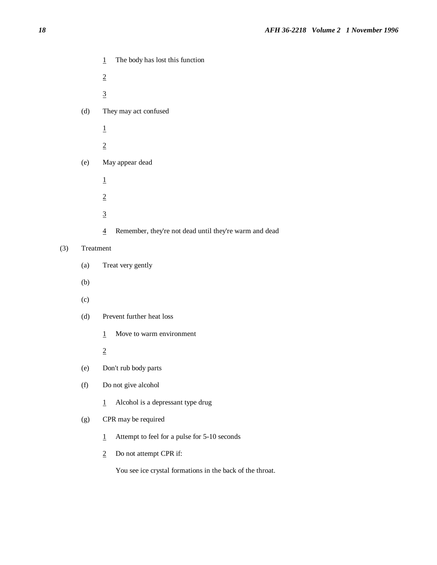- 1 The body has lost this function
- 2
- 3
- (d) They may act confused
	- 1
	- 2
- (e) May appear dead
	- 1
	- 2
	- 3
	- 4 Remember, they're not dead until they're warm and dead

## (3) Treatment

- (a) Treat very gently
- (b)
- (c)
- (d) Prevent further heat loss
	- 1 Move to warm environment
	- 2
- (e) Don't rub body parts
- (f) Do not give alcohol
	- 1 Alcohol is a depressant type drug

### (g) CPR may be required

- 1 Attempt to feel for a pulse for 5-10 seconds
- 2 Do not attempt CPR if:

You see ice crystal formations in the back of the throat.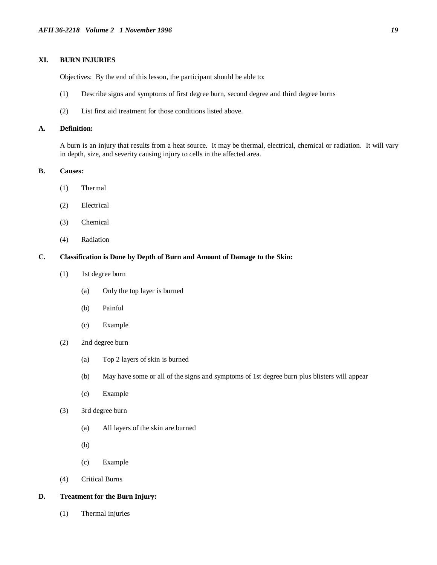## **XI. BURN INJURIES**

Objectives: By the end of this lesson, the participant should be able to:

- (1) Describe signs and symptoms of first degree burn, second degree and third degree burns
- (2) List first aid treatment for those conditions listed above.

#### **A. Definition:**

A burn is an injury that results from a heat source. It may be thermal, electrical, chemical or radiation. It will vary in depth, size, and severity causing injury to cells in the affected area.

#### **B. Causes:**

- (1) Thermal
- (2) Electrical
- (3) Chemical
- (4) Radiation

#### **C. Classification is Done by Depth of Burn and Amount of Damage to the Skin:**

- (1) 1st degree burn
	- (a) Only the top layer is burned
	- (b) Painful
	- (c) Example
- (2) 2nd degree burn
	- (a) Top 2 layers of skin is burned
	- (b) May have some or all of the signs and symptoms of 1st degree burn plus blisters will appear
	- (c) Example
- (3) 3rd degree burn
	- (a) All layers of the skin are burned
	- (b)
	- (c) Example
- (4) Critical Burns

#### **D. Treatment for the Burn Injury:**

(1) Thermal injuries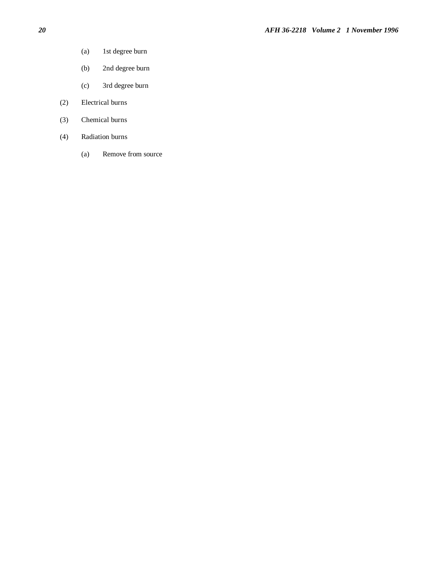- (a) 1st degree burn
- (b) 2nd degree burn
- (c) 3rd degree burn
- (2) Electrical burns
- (3) Chemical burns
- (4) Radiation burns
	- (a) Remove from source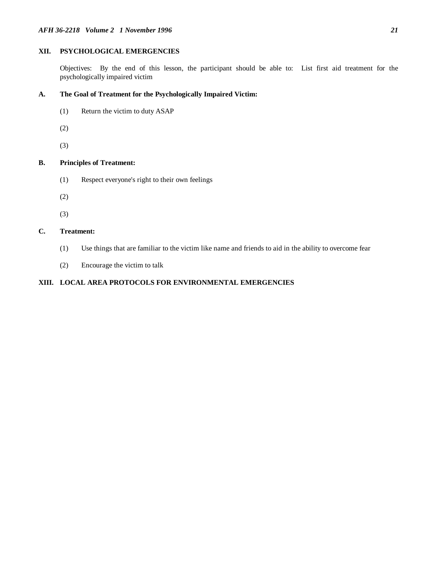## **XII. PSYCHOLOGICAL EMERGENCIES**

Objectives: By the end of this lesson, the participant should be able to: List first aid treatment for the psychologically impaired victim

## **A. The Goal of Treatment for the Psychologically Impaired Victim:**

- (1) Return the victim to duty ASAP
- (2)
- (3)

## **B. Principles of Treatment:**

- (1) Respect everyone's right to their own feelings
- (2)
- (3)

## **C. Treatment:**

- (1) Use things that are familiar to the victim like name and friends to aid in the ability to overcome fear
- (2) Encourage the victim to talk

## **XIII. LOCAL AREA PROTOCOLS FOR ENVIRONMENTAL EMERGENCIES**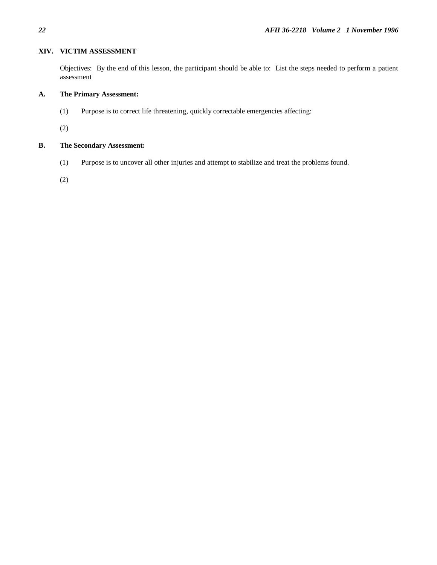## **XIV. VICTIM ASSESSMENT**

Objectives: By the end of this lesson, the participant should be able to: List the steps needed to perform a patient assessment

## **A. The Primary Assessment:**

(1) Purpose is to correct life threatening, quickly correctable emergencies affecting:

(2)

## **B. The Secondary Assessment:**

(1) Purpose is to uncover all other injuries and attempt to stabilize and treat the problems found.

(2)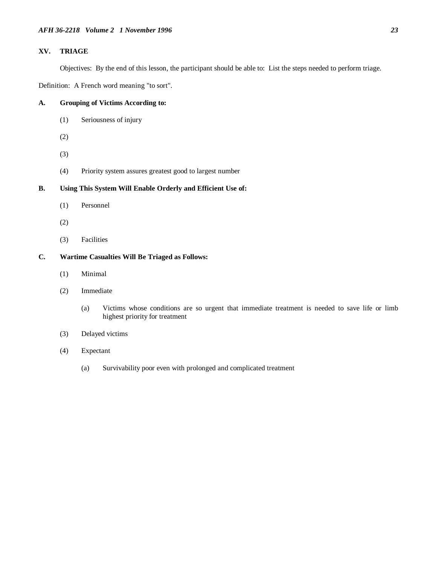## **XV. TRIAGE**

Objectives: By the end of this lesson, the participant should be able to: List the steps needed to perform triage.

Definition: A French word meaning "to sort".

## **A. Grouping of Victims According to:**

- (1) Seriousness of injury
- (2)
- (3)
- (4) Priority system assures greatest good to largest number

## **B. Using This System Will Enable Orderly and Efficient Use of:**

- (1) Personnel
- (2)
- (3) Facilities

## **C. Wartime Casualties Will Be Triaged as Follows:**

- (1) Minimal
- (2) Immediate
	- (a) Victims whose conditions are so urgent that immediate treatment is needed to save life or limb highest priority for treatment
- (3) Delayed victims
- (4) Expectant
	- (a) Survivability poor even with prolonged and complicated treatment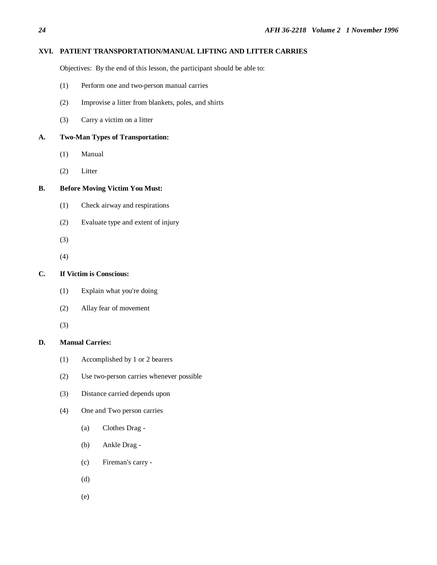## **XVI. PATIENT TRANSPORTATION/MANUAL LIFTING AND LITTER CARRIES**

Objectives: By the end of this lesson, the participant should be able to:

- (1) Perform one and two-person manual carries
- (2) Improvise a litter from blankets, poles, and shirts
- (3) Carry a victim on a litter

#### **A. Two-Man Types of Transportation:**

- (1) Manual
- (2) Litter

## **B. Before Moving Victim You Must:**

- (1) Check airway and respirations
- (2) Evaluate type and extent of injury
- (3)
- (4)

#### **C. If Victim is Conscious:**

- (1) Explain what you're doing
- (2) Allay fear of movement
- (3)

## **D. Manual Carries:**

- (1) Accomplished by 1 or 2 bearers
- (2) Use two-person carries whenever possible
- (3) Distance carried depends upon
- (4) One and Two person carries
	- (a) Clothes Drag -
	- (b) Ankle Drag -
	- (c) Fireman's carry -
	- (d)
	- (e)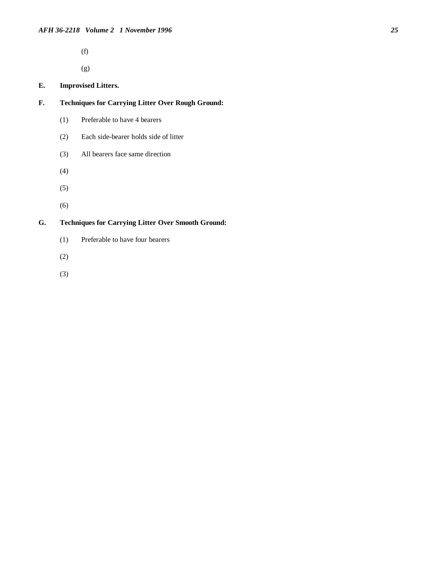(f)

(g)

## **E. Improvised Litters.**

- **F. Techniques for Carrying Litter Over Rough Ground:**
	- (1) Preferable to have 4 bearers
	- (2) Each side-bearer holds side of litter
	- (3) All bearers face same direction
	- (4)
	- (5)
	- (6)

## **G. Techniques for Carrying Litter Over Smooth Ground:**

- (1) Preferable to have four bearers
- (2)
- (3)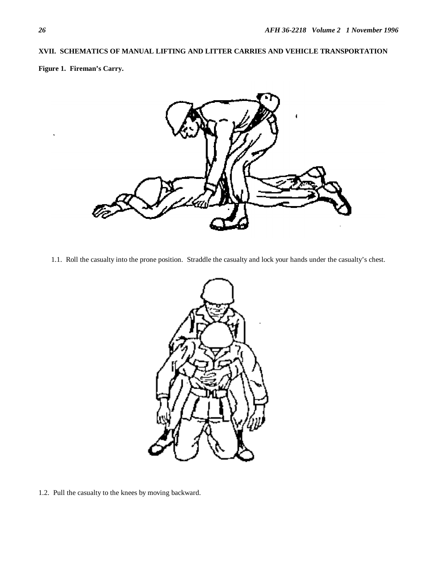## **XVII. SCHEMATICS OF MANUAL LIFTING AND LITTER CARRIES AND VEHICLE TRANSPORTATION**

**Figure 1. Fireman's Carry.**



1.1. Roll the casualty into the prone position. Straddle the casualty and lock your hands under the casualty's chest.



1.2. Pull the casualty to the knees by moving backward.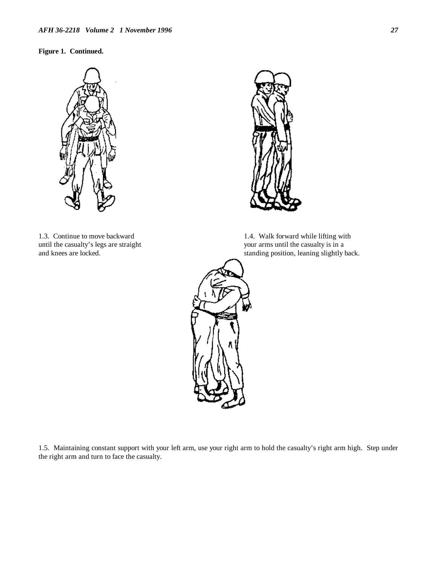## **Figure 1. Continued.**



1.3. Continue to move backward 1.4. Walk forward while lifting with until the casualty's legs are straight your arms until the casualty is in a



and knees are locked. standing position, leaning slightly back.



1.5. Maintaining constant support with your left arm, use your right arm to hold the casualty's right arm high. Step under the right arm and turn to face the casualty.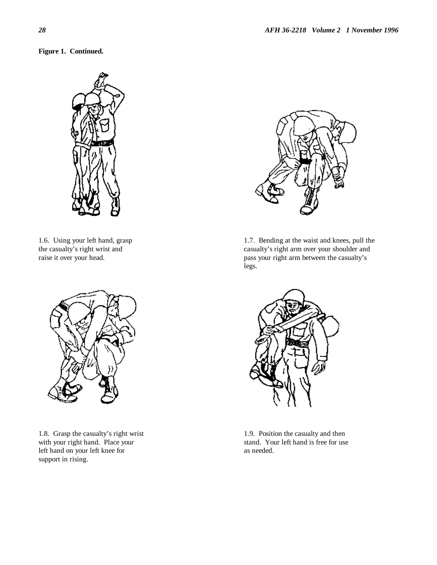**Figure 1. Continued.**





1.8. Grasp the casualty's right wrist 1.9. Position the casualty and then with your right hand. Place your stand. Your left hand is free for use left hand on your left knee for as needed. support in rising.



1.6. Using your left hand, grasp 1.7. Bending at the waist and knees, pull the the casualty's right wrist and casualty's right arm over your shoulder and raise it over your head. pass your right arm between the casualty's legs.

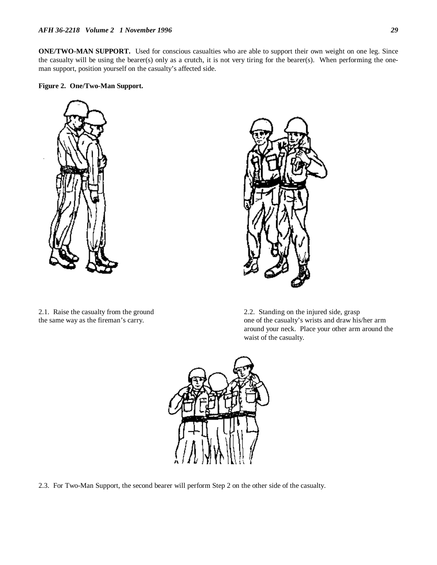**ONE/TWO-MAN SUPPORT.** Used for conscious casualties who are able to support their own weight on one leg. Since the casualty will be using the bearer(s) only as a crutch, it is not very tiring for the bearer(s). When performing the oneman support, position yourself on the casualty's affected side.

#### **Figure 2. One/Two-Man Support.**





2.1. Raise the casualty from the ground 2.2. Standing on the injured side, grasp the same way as the fireman's carry.  $\qquad \qquad$  one of the casualty's wrists and draw his/her arm around your neck. Place your other arm around the waist of the casualty.



2.3. For Two-Man Support, the second bearer will perform Step 2 on the other side of the casualty.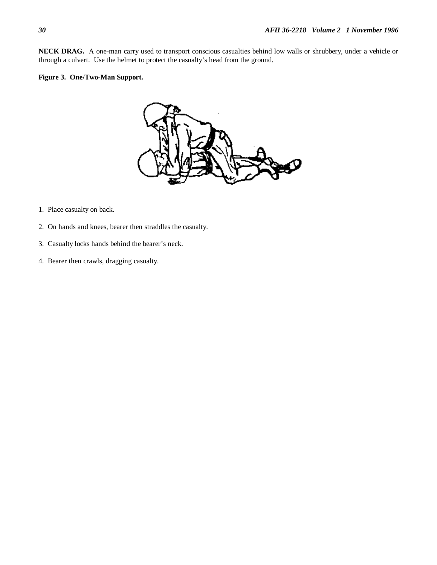**NECK DRAG.** A one-man carry used to transport conscious casualties behind low walls or shrubbery, under a vehicle or through a culvert. Use the helmet to protect the casualty's head from the ground.

## **Figure 3. One/Two-Man Support.**



- 1. Place casualty on back.
- 2. On hands and knees, bearer then straddles the casualty.
- 3. Casualty locks hands behind the bearer's neck.
- 4. Bearer then crawls, dragging casualty.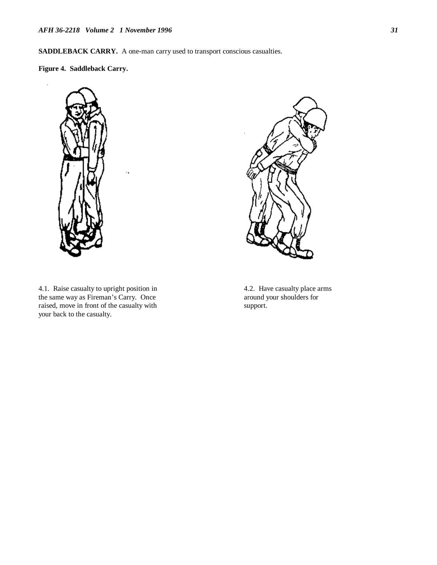**SADDLEBACK CARRY.** A one-man carry used to transport conscious casualties.

**Figure 4. Saddleback Carry.**



k,

4.1.Raise casualty to upright position in 4.2. Have casualty place arms the same way as Fireman's Carry. Once around your shoulders for raised, move in front of the casualty with support. your back to the casualty.

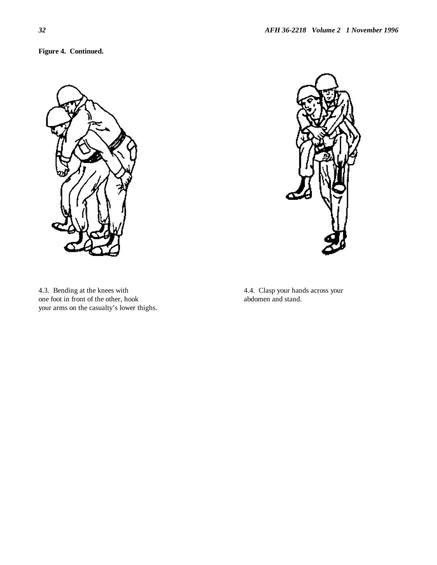**Figure 4. Continued.**





4.3. Bending at the knees with 4.4. Clasp your hands across your one foot in front of the other, hook abdomen and stand. your arms on the casualty's lower thighs.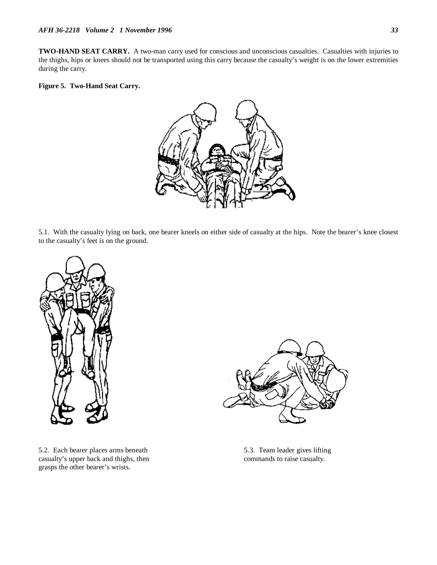**TWO-HAND SEAT CARRY.** A two-man carry used for conscious and unconscious casualties. Casualties with injuries to the thighs, hips or knees should not be transported using this carry because the casualty's weight is on the lower extremities during the carry.

#### **Figure 5. Two-Hand Seat Carry.**



5.1.With the casualty lying on back, one bearer kneels on either side of casualty at the hips. Note the bearer's knee closest to the casualty's feet is on the ground.



5.2. Each bearer places arms beneath 5.3. Team leader gives lifting casualty's upper back and thighs, then commands to raise casualty. grasps the other bearer's wrists.

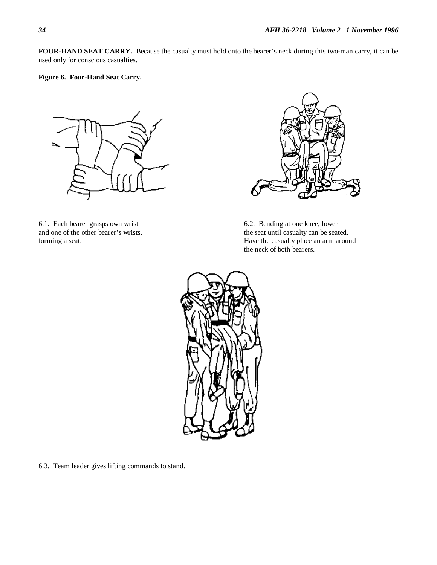**FOUR-HAND SEAT CARRY.** Because the casualty must hold onto the bearer's neck during this two-man carry, it can be used only for conscious casualties.

**Figure 6. Four-Hand Seat Carry.**



6.1. Each bearer grasps own wrist 6.2. Bending at one knee, lower and one of the other bearer's wrists, the seat until casualty can be seated.



forming a seat. Have the casualty place an arm around Have the casualty place an arm around the neck of both bearers.



6.3. Team leader gives lifting commands to stand.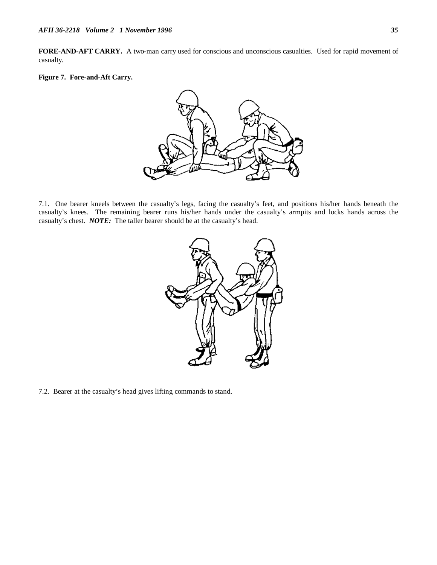**FORE-AND-AFT CARRY.** A two-man carry used for conscious and unconscious casualties. Used for rapid movement of casualty.

#### **Figure 7. Fore-and-Aft Carry.**



7.1. One bearer kneels between the casualty's legs, facing the casualty's feet, and positions his/her hands beneath the casualty's knees. The remaining bearer runs his/her hands under the casualty's armpits and locks hands across the casualty's chest. *NOTE:* The taller bearer should be at the casualty's head.



7.2. Bearer at the casualty's head gives lifting commands to stand.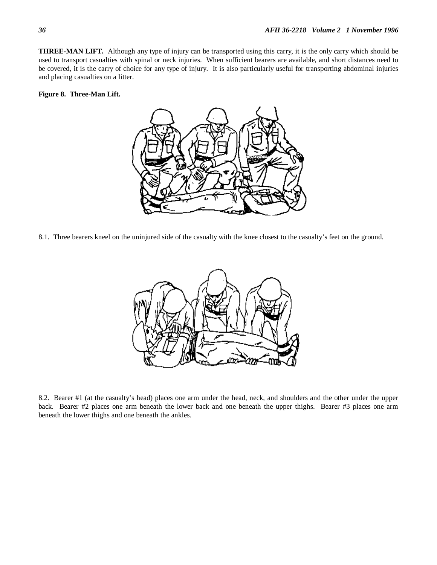**THREE-MAN LIFT.** Although any type of injury can be transported using this carry, it is the only carry which should be used to transport casualties with spinal or neck injuries. When sufficient bearers are available, and short distances need to be covered, it is the carry of choice for any type of injury. It is also particularly useful for transporting abdominal injuries and placing casualties on a litter.

#### **Figure 8. Three-Man Lift.**



8.1. Three bearers kneel on the uninjured side of the casualty with the knee closest to the casualty's feet on the ground.



8.2. Bearer #1 (at the casualty's head) places one arm under the head, neck, and shoulders and the other under the upper back. Bearer #2 places one arm beneath the lower back and one beneath the upper thighs. Bearer #3 places one arm beneath the lower thighs and one beneath the ankles.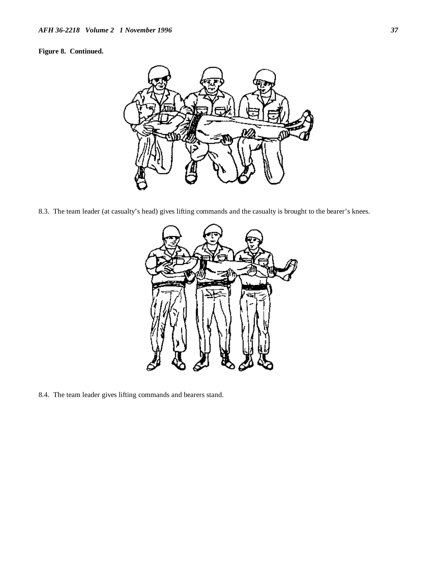## **Figure 8. Continued.**



8.3. The team leader (at casualty's head) gives lifting commands and the casualty is brought to the bearer's knees.



8.4. The team leader gives lifting commands and bearers stand.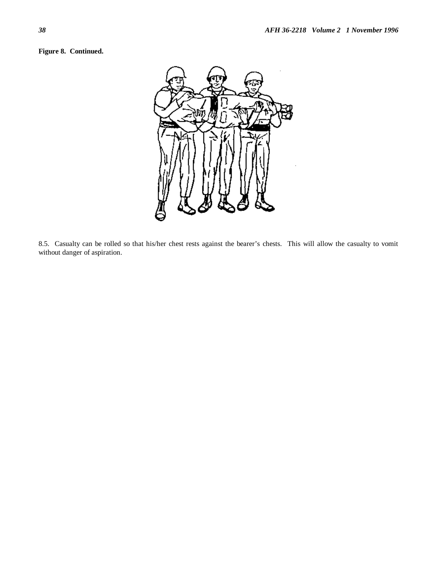## **Figure 8. Continued.**



8.5. Casualty can be rolled so that his/her chest rests against the bearer's chests. This will allow the casualty to vomit without danger of aspiration.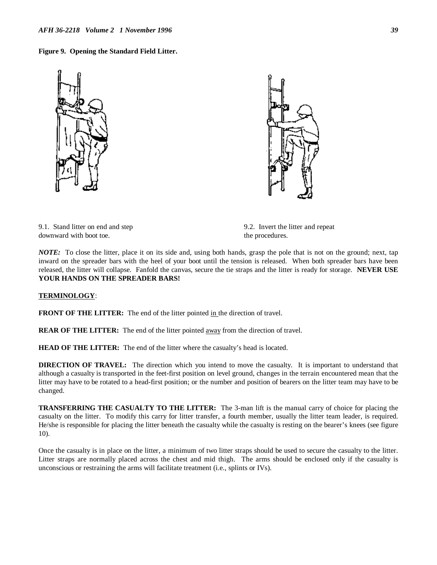#### **Figure 9. Opening the Standard Field Litter.**





9.1. Stand litter on end and step 9.2. Invert the litter and repeat downward with boot toe. the procedures.

*NOTE:* To close the litter, place it on its side and, using both hands, grasp the pole that is not on the ground; next, tap inward on the spreader bars with the heel of your boot until the tension is released. When both spreader bars have been released, the litter will collapse. Fanfold the canvas, secure the tie straps and the litter is ready for storage. **NEVER USE YOUR HANDS ON THE SPREADER BARS!**

#### **TERMINOLOGY**:

**FRONT OF THE LITTER:** The end of the litter pointed in the direction of travel.

**REAR OF THE LITTER:** The end of the litter pointed away from the direction of travel.

**HEAD OF THE LITTER:** The end of the litter where the casualty's head is located.

**DIRECTION OF TRAVEL:** The direction which you intend to move the casualty. It is important to understand that although a casualty is transported in the feet-first position on level ground, changes in the terrain encountered mean that the litter may have to be rotated to a head-first position; or the number and position of bearers on the litter team may have to be changed.

**TRANSFERRING THE CASUALTY TO THE LITTER:** The 3-man lift is the manual carry of choice for placing the casualty on the litter. To modify this carry for litter transfer, a fourth member, usually the litter team leader, is required. He/she is responsible for placing the litter beneath the casualty while the casualty is resting on the bearer's knees (see figure 10).

Once the casualty is in place on the litter, a minimum of two litter straps should be used to secure the casualty to the litter. Litter straps are normally placed across the chest and mid thigh. The arms should be enclosed only if the casualty is unconscious or restraining the arms will facilitate treatment (i.e., splints or IVs).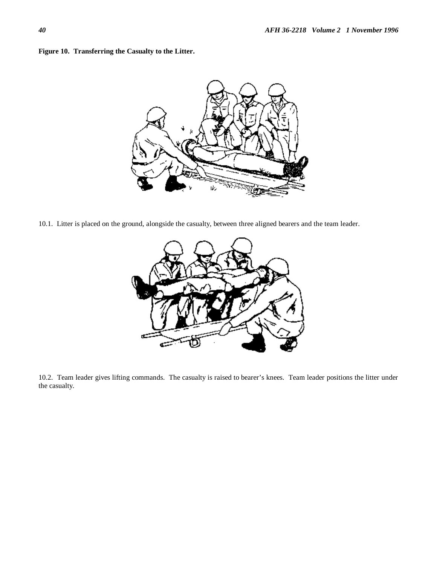



10.1. Litter is placed on the ground, alongside the casualty, between three aligned bearers and the team leader.



10.2. Team leader gives lifting commands. The casualty is raised to bearer's knees. Team leader positions the litter under the casualty.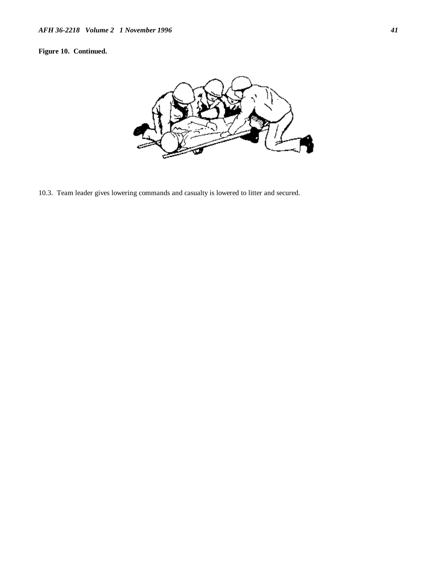## **Figure 10. Continued.**



10.3. Team leader gives lowering commands and casualty is lowered to litter and secured.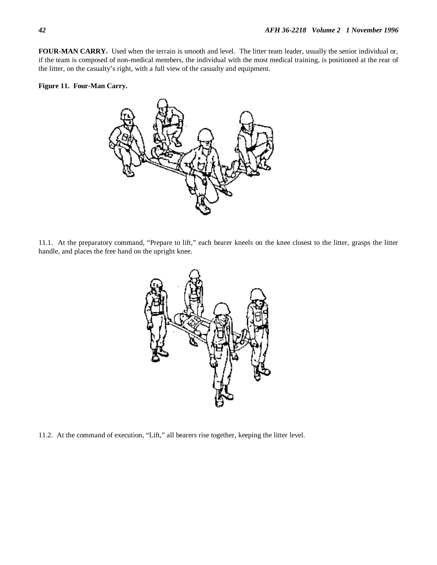**FOUR-MAN CARRY.** Used when the terrain is smooth and level. The litter team leader, usually the senior individual or, if the team is composed of non-medical members, the individual with the most medical training, is positioned at the rear of the litter, on the casualty's right, with a full view of the casualty and equipment.

#### **Figure 11. Four-Man Carry.**



11.1. At the preparatory command, "Prepare to lift," each bearer kneels on the knee closest to the litter, grasps the litter handle, and places the free hand on the upright knee.



11.2. At the command of execution, "Lift," all bearers rise together, keeping the litter level.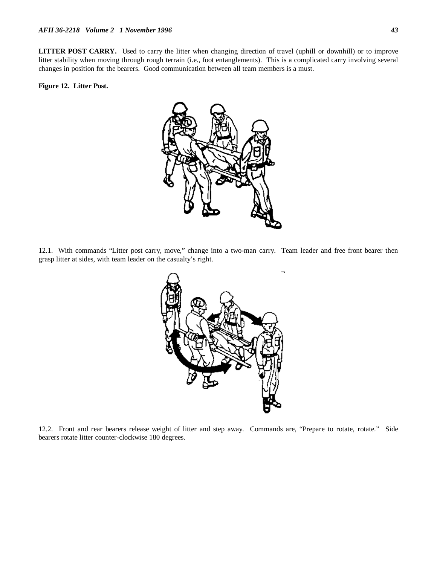**LITTER POST CARRY.** Used to carry the litter when changing direction of travel (uphill or downhill) or to improve litter stability when moving through rough terrain (i.e., foot entanglements). This is a complicated carry involving several changes in position for the bearers. Good communication between all team members is a must.

## **Figure 12. Litter Post.**



12.1.With commands "Litter post carry, move," change into a two-man carry. Team leader and free front bearer then grasp litter at sides, with team leader on the casualty's right.



12.2. Front and rear bearers release weight of litter and step away. Commands are, "Prepare to rotate, rotate." Side bearers rotate litter counter-clockwise 180 degrees.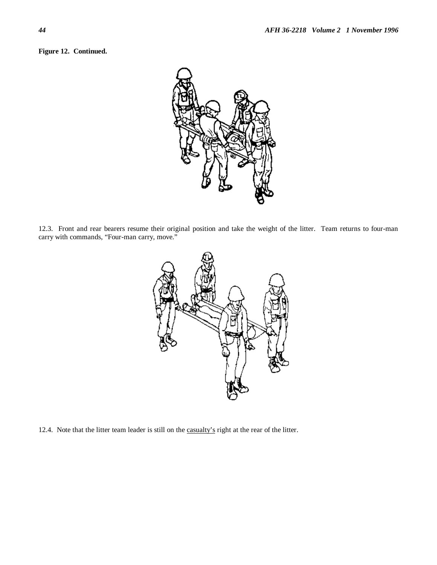



12.3. Front and rear bearers resume their original position and take the weight of the litter. Team returns to four-man carry with commands, "Four-man carry, move."



12.4. Note that the litter team leader is still on the casualty's right at the rear of the litter.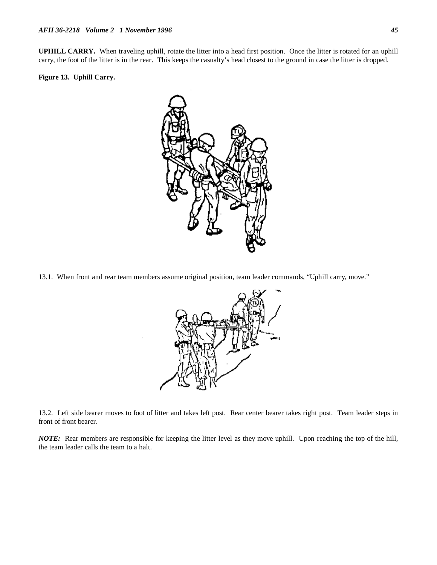**UPHILL CARRY.** When traveling uphill, rotate the litter into a head first position. Once the litter is rotated for an uphill carry, the foot of the litter is in the rear. This keeps the casualty's head closest to the ground in case the litter is dropped.

#### **Figure 13. Uphill Carry.**



13.1. When front and rear team members assume original position, team leader commands, "Uphill carry, move."



13.2. Left side bearer moves to foot of litter and takes left post. Rear center bearer takes right post. Team leader steps in front of front bearer.

*NOTE:* Rear members are responsible for keeping the litter level as they move uphill. Upon reaching the top of the hill, the team leader calls the team to a halt.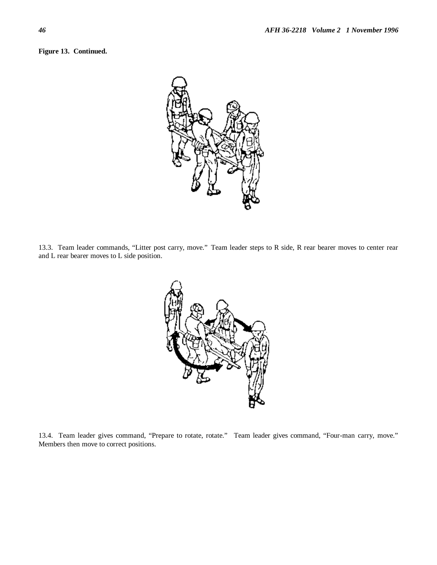



13.3. Team leader commands, "Litter post carry, move." Team leader steps to R side, R rear bearer moves to center rear and L rear bearer moves to L side position.



13.4. Team leader gives command, "Prepare to rotate, rotate." Team leader gives command, "Four-man carry, move." Members then move to correct positions.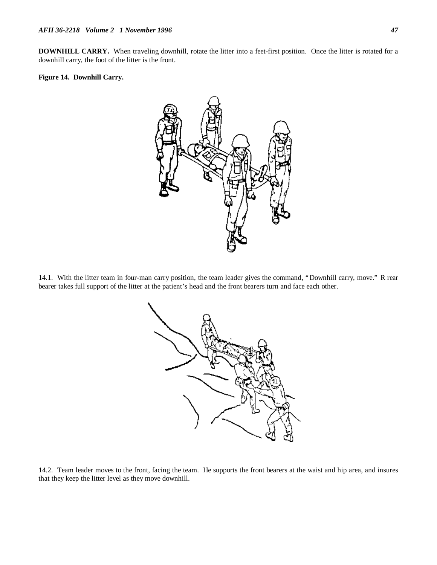**DOWNHILL CARRY.** When traveling downhill, rotate the litter into a feet-first position. Once the litter is rotated for a downhill carry, the foot of the litter is the front.

#### **Figure 14. Downhill Carry.**



14.1. With the litter team in four-man carry position, the team leader gives the command, "Downhill carry, move." R rear bearer takes full support of the litter at the patient's head and the front bearers turn and face each other.



14.2. Team leader moves to the front, facing the team. He supports the front bearers at the waist and hip area, and insures that they keep the litter level as they move downhill.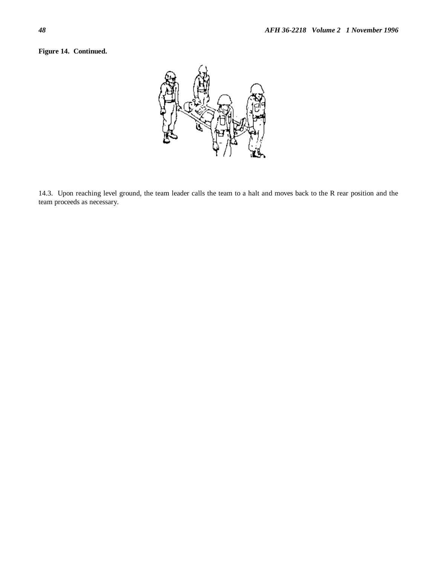## **Figure 14. Continued.**

![](_page_48_Picture_2.jpeg)

14.3. Upon reaching level ground, the team leader calls the team to a halt and moves back to the R rear position and the team proceeds as necessary.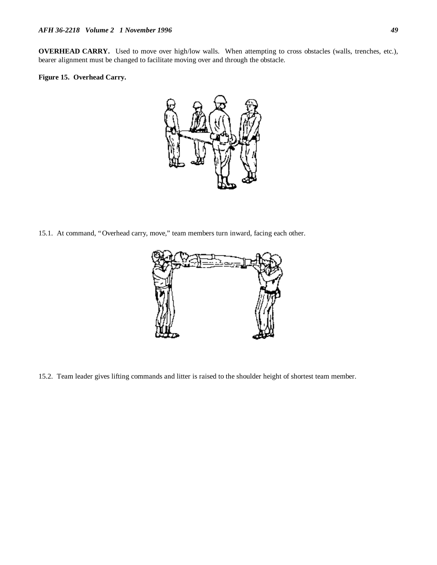**OVERHEAD CARRY.** Used to move over high/low walls. When attempting to cross obstacles (walls, trenches, etc.), bearer alignment must be changed to facilitate moving over and through the obstacle.

#### **Figure 15. Overhead Carry.**

![](_page_49_Picture_3.jpeg)

15.1.At command, "Overhead carry, move," team members turn inward, facing each other.

![](_page_49_Picture_5.jpeg)

15.2. Team leader gives lifting commands and litter is raised to the shoulder height of shortest team member.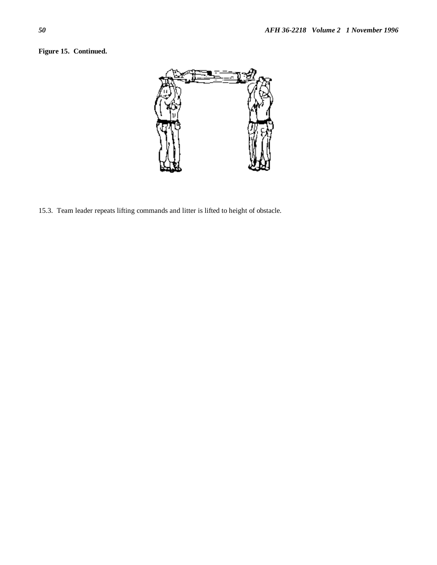## **Figure 15. Continued.**

![](_page_50_Picture_2.jpeg)

15.3. Team leader repeats lifting commands and litter is lifted to height of obstacle.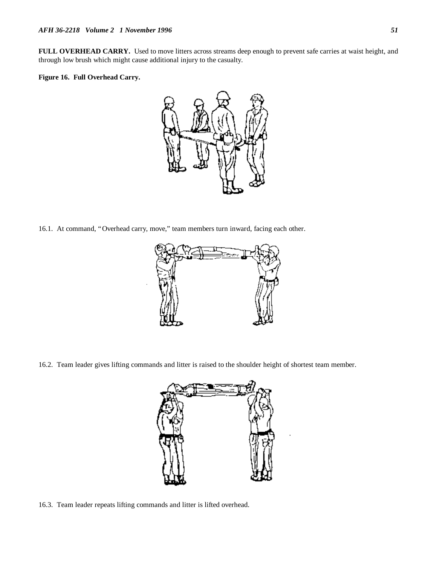**FULL OVERHEAD CARRY.** Used to move litters across streams deep enough to prevent safe carries at waist height, and through low brush which might cause additional injury to the casualty.

#### **Figure 16. Full Overhead Carry.**

![](_page_51_Picture_3.jpeg)

16.1.At command, "Overhead carry, move," team members turn inward, facing each other.

![](_page_51_Picture_5.jpeg)

16.2. Team leader gives lifting commands and litter is raised to the shoulder height of shortest team member.

![](_page_51_Picture_7.jpeg)

16.3. Team leader repeats lifting commands and litter is lifted overhead.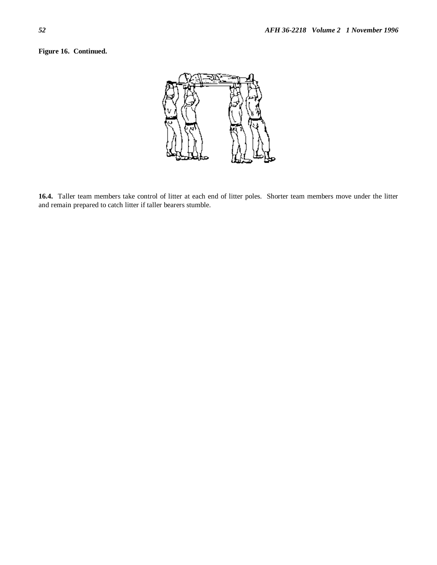**Figure 16. Continued.**

![](_page_52_Figure_2.jpeg)

**16.4.** Taller team members take control of litter at each end of litter poles. Shorter team members move under the litter and remain prepared to catch litter if taller bearers stumble.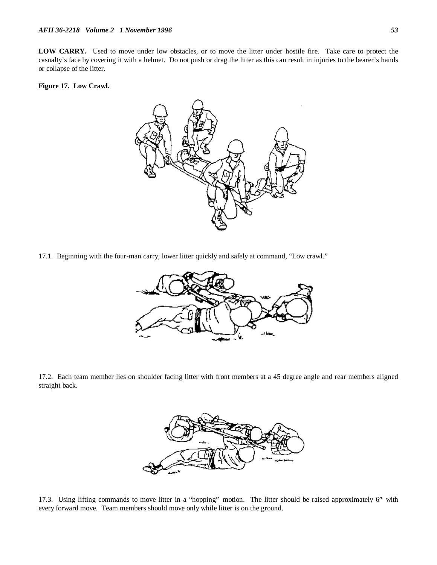LOW CARRY. Used to move under low obstacles, or to move the litter under hostile fire. Take care to protect the casualty's face by covering it with a helmet. Do not push or drag the litter as this can result in injuries to the bearer's hands or collapse of the litter.

#### **Figure 17. Low Crawl.**

![](_page_53_Figure_3.jpeg)

17.1.Beginning with the four-man carry, lower litter quickly and safely at command, "Low crawl."

![](_page_53_Figure_5.jpeg)

17.2. Each team member lies on shoulder facing litter with front members at a 45 degree angle and rear members aligned straight back.

![](_page_53_Picture_7.jpeg)

17.3. Using lifting commands to move litter in a "hopping" motion. The litter should be raised approximately 6" with every forward move. Team members should move only while litter is on the ground.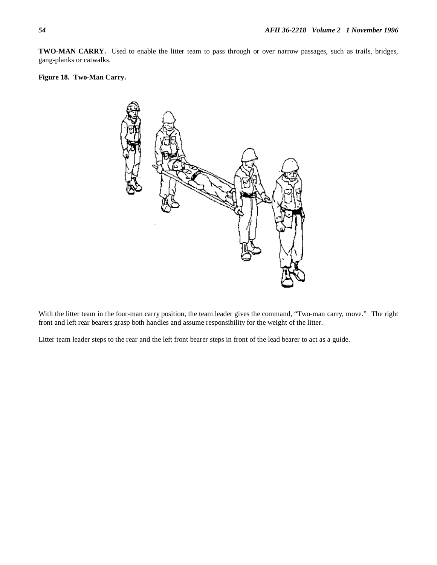**TWO-MAN CARRY.** Used to enable the litter team to pass through or over narrow passages, such as trails, bridges, gang-planks or catwalks.

#### **Figure 18. Two-Man Carry.**

![](_page_54_Figure_3.jpeg)

With the litter team in the four-man carry position, the team leader gives the command, "Two-man carry, move." The right front and left rear bearers grasp both handles and assume responsibility for the weight of the litter.

Litter team leader steps to the rear and the left front bearer steps in front of the lead bearer to act as a guide.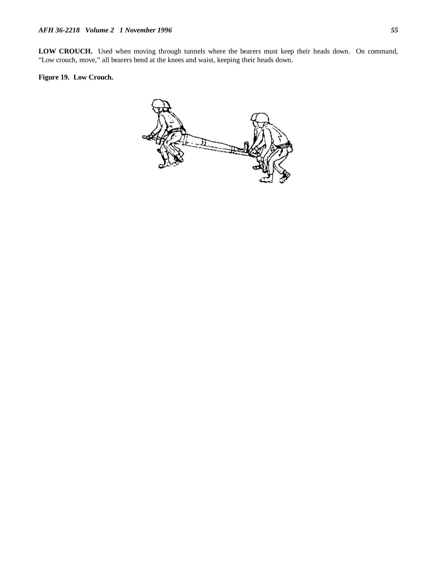**LOW CROUCH.** Used when moving through tunnels where the bearers must keep their heads down. On command, "Low crouch, move," all bearers bend at the knees and waist, keeping their heads down.

## **Figure 19. Low Crouch.**

![](_page_55_Picture_3.jpeg)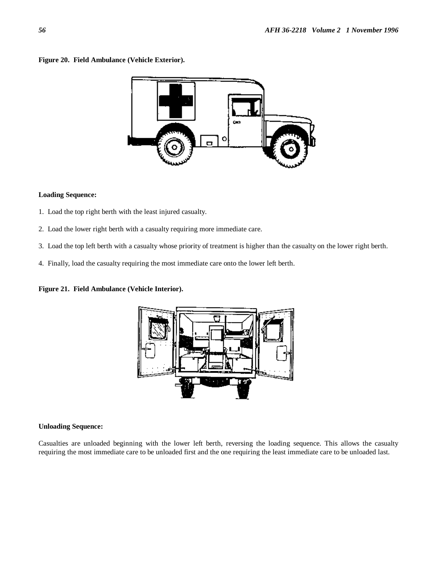#### **Figure 20. Field Ambulance (Vehicle Exterior).**

![](_page_56_Figure_2.jpeg)

#### **Loading Sequence:**

- 1. Load the top right berth with the least injured casualty.
- 2. Load the lower right berth with a casualty requiring more immediate care.
- 3. Load the top left berth with a casualty whose priority of treatment is higher than the casualty on the lower right berth.
- 4. Finally, load the casualty requiring the most immediate care onto the lower left berth.

#### **Figure 21. Field Ambulance (Vehicle Interior).**

![](_page_56_Figure_9.jpeg)

#### **Unloading Sequence:**

Casualties are unloaded beginning with the lower left berth, reversing the loading sequence. This allows the casualty requiring the most immediate care to be unloaded first and the one requiring the least immediate care to be unloaded last.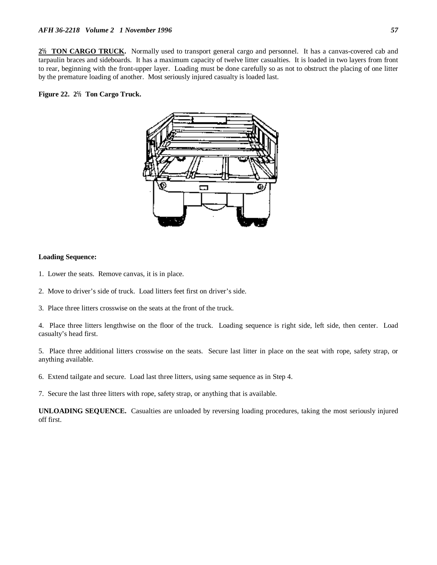**2½ TON CARGO TRUCK.** Normally used to transport general cargo and personnel. It has a canvas-covered cab and tarpaulin braces and sideboards. It has a maximum capacity of twelve litter casualties. It is loaded in two layers from front to rear, beginning with the front-upper layer. Loading must be done carefully so as not to obstruct the placing of one litter by the premature loading of another. Most seriously injured casualty is loaded last.

#### **Figure 22. 2½ Ton Cargo Truck.**

![](_page_57_Figure_3.jpeg)

#### **Loading Sequence:**

- 1. Lower the seats. Remove canvas, it is in place.
- 2. Move to driver's side of truck. Load litters feet first on driver's side.
- 3. Place three litters crosswise on the seats at the front of the truck.

4. Place three litters lengthwise on the floor of the truck. Loading sequence is right side, left side, then center. Load casualty's head first.

5. Place three additional litters crosswise on the seats. Secure last litter in place on the seat with rope, safety strap, or anything available.

6. Extend tailgate and secure. Load last three litters, using same sequence as in Step 4.

7. Secure the last three litters with rope, safety strap, or anything that is available.

**UNLOADING SEQUENCE.** Casualties are unloaded by reversing loading procedures, taking the most seriously injured off first.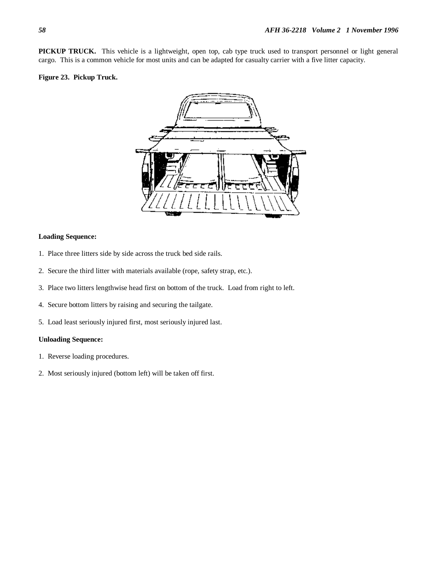**PICKUP TRUCK.** This vehicle is a lightweight, open top, cab type truck used to transport personnel or light general cargo. This is a common vehicle for most units and can be adapted for casualty carrier with a five litter capacity.

#### **Figure 23. Pickup Truck.**

![](_page_58_Picture_3.jpeg)

#### **Loading Sequence:**

- 1. Place three litters side by side across the truck bed side rails.
- 2. Secure the third litter with materials available (rope, safety strap, etc.).
- 3. Place two litters lengthwise head first on bottom of the truck. Load from right to left.
- 4. Secure bottom litters by raising and securing the tailgate.
- 5. Load least seriously injured first, most seriously injured last.

#### **Unloading Sequence:**

- 1. Reverse loading procedures.
- 2. Most seriously injured (bottom left) will be taken off first.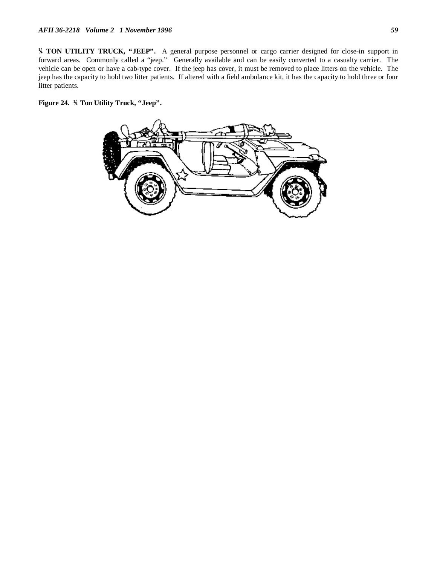**¼ TON UTILITY TRUCK, "JEEP".** A general purpose personnel or cargo carrier designed for close-in support in forward areas. Commonly called a "jeep." Generally available and can be easily converted to a casualty carrier. The vehicle can be open or have a cab-type cover. If the jeep has cover, it must be removed to place litters on the vehicle. The jeep has the capacity to hold two litter patients. If altered with a field ambulance kit, it has the capacity to hold three or four litter patients.

**Figure 24. ¼ Ton Utility Truck, "Jeep".**

![](_page_59_Figure_3.jpeg)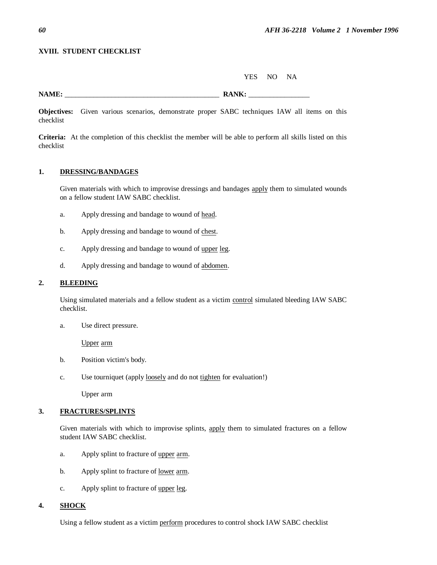#### **XVIII. STUDENT CHECKLIST**

YES NO NA

**NAME:** \_\_\_\_\_\_\_\_\_\_\_\_\_\_\_\_\_\_\_\_\_\_\_\_\_\_\_\_\_\_\_\_\_\_\_\_\_\_\_\_\_\_\_ **RANK:** \_\_\_\_\_\_\_\_\_\_\_\_\_\_\_\_\_

**Objectives:** Given various scenarios, demonstrate proper SABC techniques IAW all items on this checklist

**Criteria:** At the completion of this checklist the member will be able to perform all skills listed on this checklist

#### **1. DRESSING/BANDAGES**

Given materials with which to improvise dressings and bandages apply them to simulated wounds on a fellow student IAW SABC checklist.

- a. Apply dressing and bandage to wound of head.
- b. Apply dressing and bandage to wound of chest.
- c. Apply dressing and bandage to wound of upper leg.
- d. Apply dressing and bandage to wound of abdomen.

#### **2. BLEEDING**

Using simulated materials and a fellow student as a victim control simulated bleeding IAW SABC checklist.

a. Use direct pressure.

Upper arm

- b. Position victim's body.
- c. Use tourniquet (apply loosely and do not tighten for evaluation!)

Upper arm

#### **3. FRACTURES/SPLINTS**

Given materials with which to improvise splints, apply them to simulated fractures on a fellow student IAW SABC checklist.

- a. Apply splint to fracture of upper arm.
- b. Apply splint to fracture of lower arm.
- c. Apply splint to fracture of upper leg.

### **4. SHOCK**

Using a fellow student as a victim perform procedures to control shock IAW SABC checklist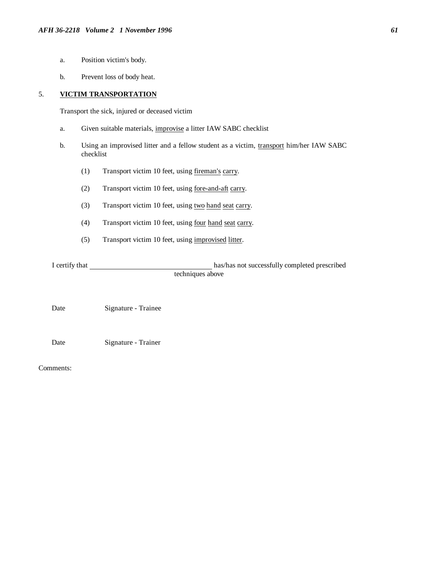- a. Position victim's body.
- b. Prevent loss of body heat.

## 5. **VICTIM TRANSPORTATION**

Transport the sick, injured or deceased victim

- a. Given suitable materials, improvise a litter IAW SABC checklist
- b. Using an improvised litter and a fellow student as a victim, transport him/her IAW SABC checklist
	- (1) Transport victim 10 feet, using fireman's carry.
	- (2) Transport victim 10 feet, using fore-and-aft carry.
	- (3) Transport victim 10 feet, using two hand seat carry.
	- (4) Transport victim 10 feet, using four hand seat carry.
	- (5) Transport victim 10 feet, using improvised litter.

I certify that has/has not successfully completed prescribed techniques above

Date Signature - Trainee

Date Signature - Trainer

Comments: